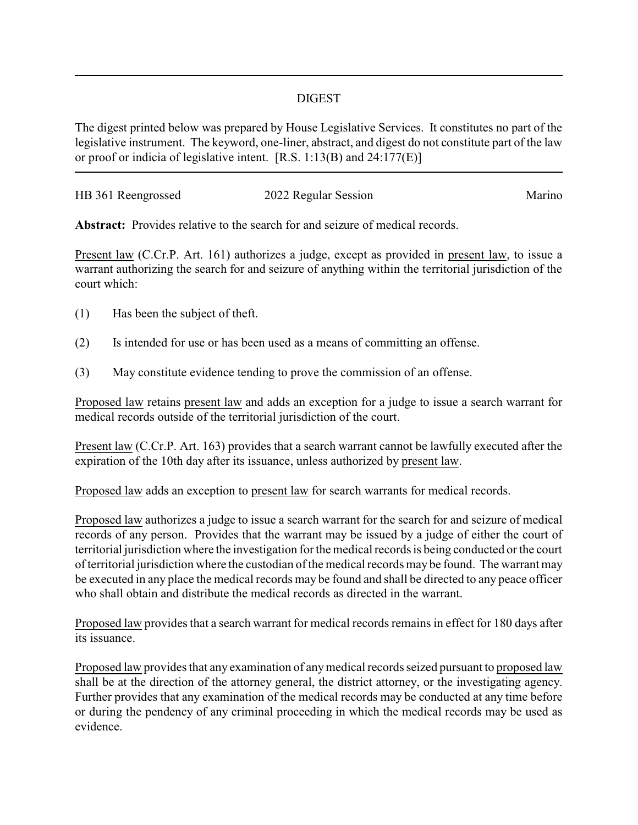## DIGEST

The digest printed below was prepared by House Legislative Services. It constitutes no part of the legislative instrument. The keyword, one-liner, abstract, and digest do not constitute part of the law or proof or indicia of legislative intent. [R.S. 1:13(B) and 24:177(E)]

| HB 361 Reengrossed | 2022 Regular Session | Marino |
|--------------------|----------------------|--------|
|                    |                      |        |

**Abstract:** Provides relative to the search for and seizure of medical records.

Present law (C.Cr.P. Art. 161) authorizes a judge, except as provided in present law, to issue a warrant authorizing the search for and seizure of anything within the territorial jurisdiction of the court which:

- (1) Has been the subject of theft.
- (2) Is intended for use or has been used as a means of committing an offense.
- (3) May constitute evidence tending to prove the commission of an offense.

Proposed law retains present law and adds an exception for a judge to issue a search warrant for medical records outside of the territorial jurisdiction of the court.

Present law (C.Cr.P. Art. 163) provides that a search warrant cannot be lawfully executed after the expiration of the 10th day after its issuance, unless authorized by present law.

Proposed law adds an exception to present law for search warrants for medical records.

Proposed law authorizes a judge to issue a search warrant for the search for and seizure of medical records of any person. Provides that the warrant may be issued by a judge of either the court of territorial jurisdiction where the investigation for the medical records is being conducted or the court of territorial jurisdiction where the custodian of the medical records may be found. The warrant may be executed in any place the medical records may be found and shall be directed to any peace officer who shall obtain and distribute the medical records as directed in the warrant.

Proposed law provides that a search warrant for medical records remains in effect for 180 days after its issuance.

Proposed law provides that any examination of anymedical records seized pursuant to proposed law shall be at the direction of the attorney general, the district attorney, or the investigating agency. Further provides that any examination of the medical records may be conducted at any time before or during the pendency of any criminal proceeding in which the medical records may be used as evidence.